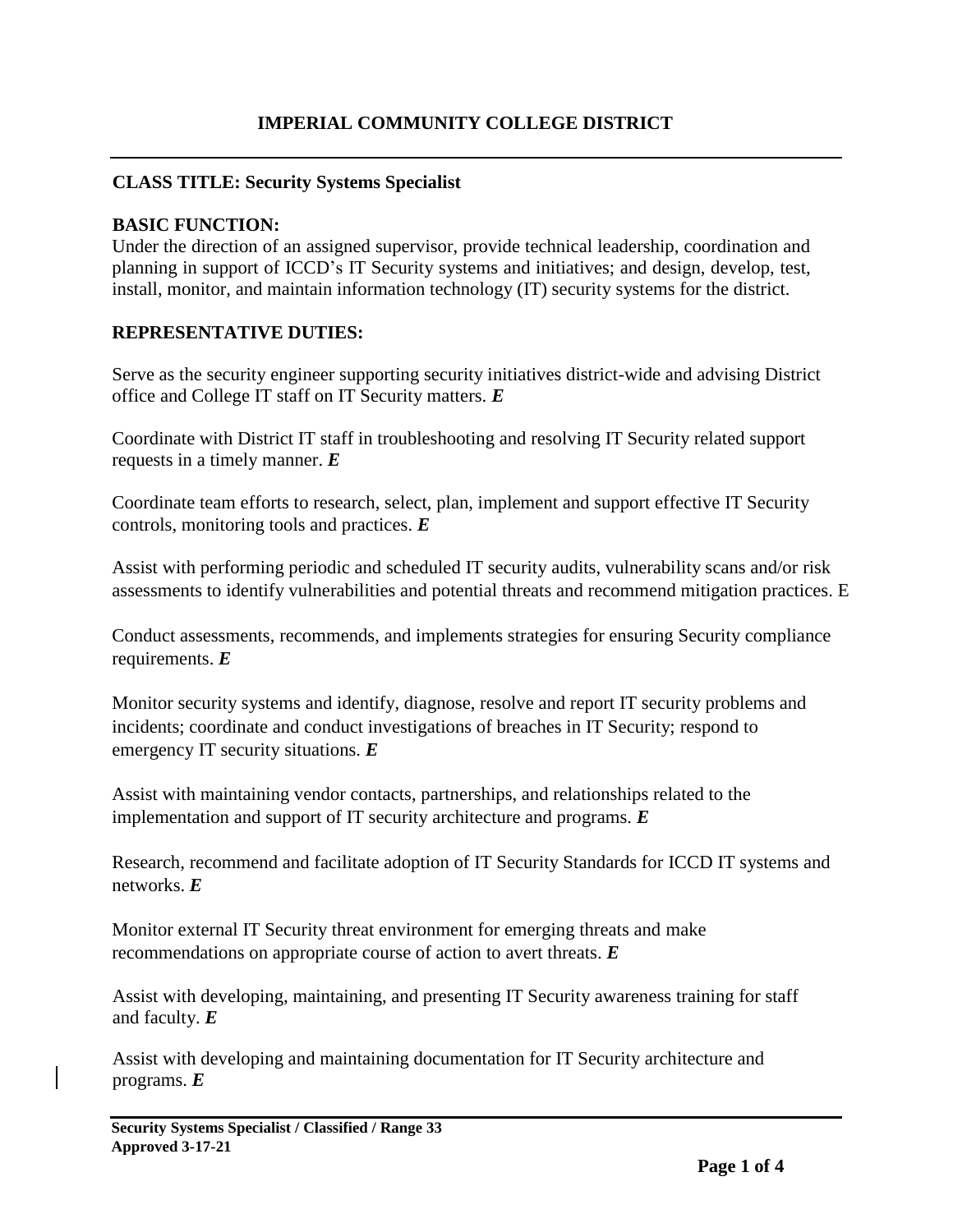### **CLASS TITLE: Security Systems Specialist**

### **BASIC FUNCTION:**

Under the direction of an assigned supervisor, provide technical leadership, coordination and planning in support of ICCD's IT Security systems and initiatives; and design, develop, test, install, monitor, and maintain information technology (IT) security systems for the district.

### **REPRESENTATIVE DUTIES:**

Serve as the security engineer supporting security initiatives district-wide and advising District office and College IT staff on IT Security matters. *E*

Coordinate with District IT staff in troubleshooting and resolving IT Security related support requests in a timely manner. *E*

Coordinate team efforts to research, select, plan, implement and support effective IT Security controls, monitoring tools and practices. *E*

Assist with performing periodic and scheduled IT security audits, vulnerability scans and/or risk assessments to identify vulnerabilities and potential threats and recommend mitigation practices. E

Conduct assessments, recommends, and implements strategies for ensuring Security compliance requirements. *E*

Monitor security systems and identify, diagnose, resolve and report IT security problems and incidents; coordinate and conduct investigations of breaches in IT Security; respond to emergency IT security situations. *E*

Assist with maintaining vendor contacts, partnerships, and relationships related to the implementation and support of IT security architecture and programs. *E*

Research, recommend and facilitate adoption of IT Security Standards for ICCD IT systems and networks. *E*

Monitor external IT Security threat environment for emerging threats and make recommendations on appropriate course of action to avert threats. *E*

Assist with developing, maintaining, and presenting IT Security awareness training for staff and faculty. *E* 

Assist with developing and maintaining documentation for IT Security architecture and programs. *E*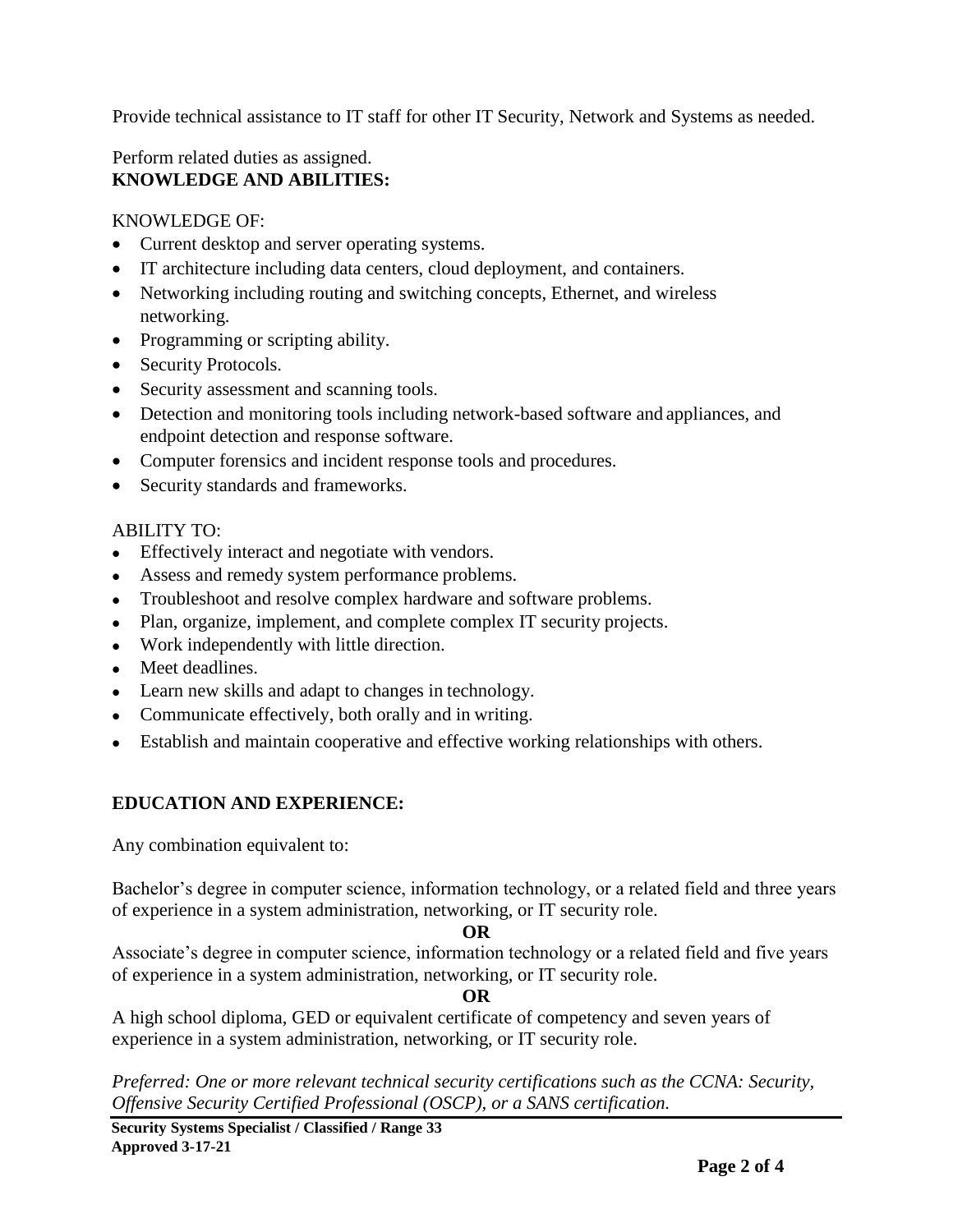Provide technical assistance to IT staff for other IT Security, Network and Systems as needed.

## Perform related duties as assigned. **KNOWLEDGE AND ABILITIES:**

### KNOWLEDGE OF:

- Current desktop and server operating systems.
- IT architecture including data centers, cloud deployment, and containers.
- Networking including routing and switching concepts, Ethernet, and wireless networking.
- Programming or scripting ability.
- Security Protocols.
- Security assessment and scanning tools.
- Detection and monitoring tools including network-based software and appliances, and endpoint detection and response software.
- Computer forensics and incident response tools and procedures.
- Security standards and frameworks.

## ABILITY TO:

- Effectively interact and negotiate with vendors.
- Assess and remedy system performance problems.
- Troubleshoot and resolve complex hardware and software problems.
- Plan, organize, implement, and complete complex IT security projects.
- Work independently with little direction.
- Meet deadlines.
- Learn new skills and adapt to changes in technology.
- Communicate effectively, both orally and in writing.
- Establish and maintain cooperative and effective working relationships with others.

# **EDUCATION AND EXPERIENCE:**

Any combination equivalent to:

Bachelor's degree in computer science, information technology, or a related field and three years of experience in a system administration, networking, or IT security role.

### **OR**

Associate's degree in computer science, information technology or a related field and five years of experience in a system administration, networking, or IT security role.

#### **OR**

A high school diploma, GED or equivalent certificate of competency and seven years of experience in a system administration, networking, or IT security role.

*Preferred: One or more relevant technical security certifications such as the CCNA: Security, Offensive Security Certified Professional (OSCP), or a SANS certification.*